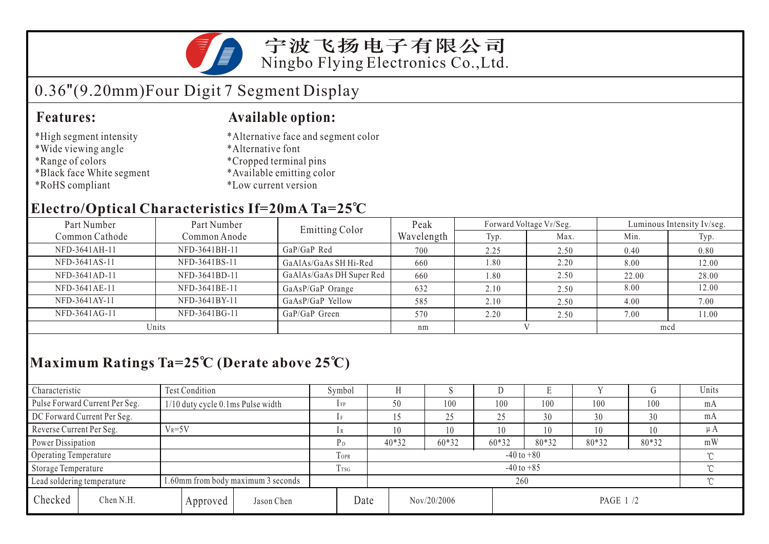

### 宁波飞扬电子有限公司 Ningbo Flying Electronics Co.,Ltd.

# 0.36"(9.20mm)Four Digit 7 Segment Display

#### **Features: Available option:**

- \*High segment intensity
- \*Wide viewing angle
- \*Range of colors
- \*Black face White segment
- \*RoHS compliant
- \*Alternative face and segment color
- \*Alternative font
- \*Cropped terminal pins
- \*Available emitting color
- \*Low current version

### **Electro/Optical Characteristics If=20mA Ta=25 C**

| Part Number<br>Part Number |               | <b>Emitting Color</b>    | Peak       | Forward Voltage VF/Seg. |      | Luminous Intensity Iv/seg. |       |  |
|----------------------------|---------------|--------------------------|------------|-------------------------|------|----------------------------|-------|--|
| Common Cathode             | Common Anode  |                          | Wavelength | Typ.                    | Max. | Min.                       | Typ.  |  |
| NFD-3641AH-11              | NFD-3641BH-11 | $GaP/GaP$ Red            | 700        | 2.25                    | 2.50 | 0.40                       | 0.80  |  |
| NFD-3641AS-11              | NFD-3641BS-11 | GaAlAs/GaAs SH Hi-Red    | 660        | 1.80                    | 2.20 | 8.00                       | 12.00 |  |
| NFD-3641AD-11              | NFD-3641BD-11 | GaAlAs/GaAs DH Super Red | 660        | 1.80                    | 2.50 | 22.00                      | 28.00 |  |
| NFD-3641AE-11              | NFD-3641BE-11 | GaAsP/GaP Orange         | 632        | 2.10                    | 2.50 | 8.00                       | 12.00 |  |
| NFD-3641AY-11              | NFD-3641BY-11 | GaAsP/GaP Yellow         | 585        | 2.10                    | 2.50 | 4.00                       | 7.00  |  |
| NFD-3641AG-11              | NFD-3641BG-11 | GaP/GaP Green            | 570        | 2.20                    | 2.50 | 7.00                       | 11.00 |  |
| Units                      |               |                          | nm         |                         |      | mcd                        |       |  |

## **Maximum Ratings Ta=25 C (Derate above 25 C)**

| Characteristic                 |            | Test Condition                     |                 | Symbol         |                |                          | ×.      |       | Е     |       |       | Units |
|--------------------------------|------------|------------------------------------|-----------------|----------------|----------------|--------------------------|---------|-------|-------|-------|-------|-------|
| Pulse Forward Current Per Seg. |            | 1/10 duty cycle 0.1ms Pulse width  |                 | $1$ FP         |                | 50                       | 100     | 100   | 100   | 100   | 100   | mA    |
| DC Forward Current Per Seg.    |            |                                    |                 |                |                |                          | 25      | 25    | 30    | 30    | 30    | mA    |
| Reverse Current Per Seg.       | $V_R = 5V$ |                                    | lR              |                | 10             | 10                       | 10      | 10    | 10    | 10    | μA    |       |
| Power Dissipation              |            |                                    |                 | P <sub>D</sub> |                | $40*32$                  | $60*32$ | 60*32 | 80*32 | 80*32 | 80*32 | mW    |
| Operating Temperature          |            |                                    | TOPR            |                | $-40$ to $+80$ |                          |         |       |       |       |       |       |
| Storage Temperature            |            |                                    | T <sub>sg</sub> |                | $-40$ to $+85$ |                          |         |       |       |       |       |       |
| Lead soldering temperature     |            | 1.60mm from body maximum 3 seconds |                 |                |                | 260                      |         |       |       |       |       |       |
| Checked                        | Chen N.H.  | Approved                           | Jason Chen      |                | Date           | Nov/20/2006<br>PAGE 1 /2 |         |       |       |       |       |       |